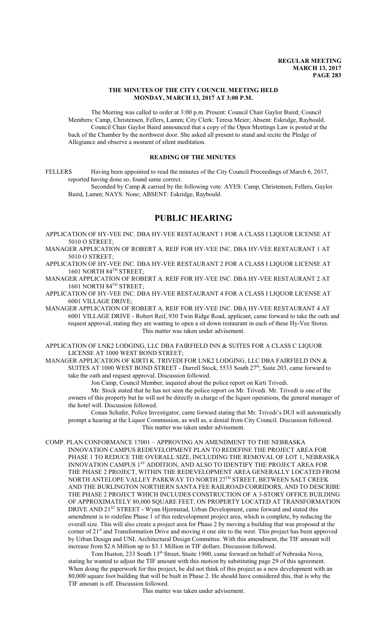## **THE MINUTES OF THE CITY COUNCIL MEETING HELD MONDAY, MARCH 13, 2017 AT 3:00 P.M.**

The Meeting was called to order at 3:00 p.m. Present: Council Chair Gaylor Baird; Council Members: Camp, Christensen, Fellers, Lamm; City Clerk: Teresa Meier; Absent: Eskridge, Raybould. Council Chair Gaylor Baird announced that a copy of the Open Meetings Law is posted at the back of the Chamber by the northwest door. She asked all present to stand and recite the Pledge of Allegiance and observe a moment of silent meditation.

## **READING OF THE MINUTES**

FELLERS Having been appointed to read the minutes of the City Council Proceedings of March 6, 2017, reported having done so, found same correct.

Seconded by Camp & carried by the following vote: AYES: Camp, Christensen, Fellers, Gaylor Baird, Lamm; NAYS: None; ABSENT: Eskridge, Raybould.

# **PUBLIC HEARING**

APPLICATION OF HY-VEE INC. DBA HY-VEE RESTAURANT 1 FOR A CLASS I LIQUOR LICENSE AT 5010 O STREET;

MANAGER APPLICATION OF ROBERT A. REIF FOR HY-VEE INC. DBA HY-VEE RESTAURANT 1 AT 5010 O STREET;

APPLICATION OF HY-VEE INC. DBA HY-VEE RESTAURANT 2 FOR A CLASS I LIQUOR LICENSE AT 1601 NORTH 84TH STREET;

MANAGER APPLICATION OF ROBERT A. REIF FOR HY-VEE INC. DBA HY-VEE RESTAURANT 2 AT 1601 NORTH 84 TH STREET;

APPLICATION OF HY-VEE INC. DBA HY-VEE RESTAURANT 4 FOR A CLASS I LIQUOR LICENSE AT 6001 VILLAGE DRIVE;

MANAGER APPLICATION OF ROBERT A. REIF FOR HY-VEE INC. DBA HY-VEE RESTAURANT 4 AT 6001 VILLAGE DRIVE - Robert Reif, 930 Twin Ridge Road, applicant, came forward to take the oath and request approval, stating they are wanting to open a sit down restaurant in each of these Hy-Vee Stores. This matter was taken under advisement.

APPLICATION OF LNK2 LODGING, LLC DBA FAIRFIELD INN & SUITES FOR A CLASS C LIQUOR LICENSE AT 1000 WEST BOND STREET;

MANAGER APPLICATION OF KIRTI K. TRIVEDI FOR LNK2 LODGING, LLC DBA FAIRFIELD INN & SUITES AT 1000 WEST BOND STREET - Darrell Stock, 5533 South 27<sup>th</sup>, Suite 203, came forward to take the oath and request approval. Discussion followed.

Jon Camp, Council Member, inquired about the police report on Kirti Trivedi.

Mr. Stock stated that he has not seen the police report on Mr. Trivedi. Mr. Trivedi is one of the owners of this property but he will not be directly in charge of the liquor operations, the general manager of the hotel will. Discussion followed.

Conan Schafer, Police Investigator, came forward stating that Mr. Trivedi's DUI will automatically prompt a hearing at the Liquor Commission, as well as, a denial from City Council. Discussion followed. This matter was taken under advisement.

COMP. PLAN CONFORMANCE 17001 – APPROVING AN AMENDMENT TO THE NEBRASKA INNOVATION CAMPUS REDEVELOPMENT PLAN TO REDEFINE THE PROJECT AREA FOR PHASE 1 TO REDUCE THE OVERALL SIZE, INCLUDING THE REMOVAL OF LOT 1, NEBRASKA INNOVATION CAMPUS 1<sup>st</sup> ADDITION, AND ALSO TO IDENTIFY THE PROJECT AREA FOR THE PHASE 2 PROJECT, WITHIN THE REDEVELOPMENT AREA GENERALLY LOCATED FROM NORTH ANTELOPE VALLEY PARKWAY TO NORTH 27 $^{\text{\tiny{\textsf{TH}}}}$  STREET, BETWEEN SALT CREEK AND THE BURLINGTON NORTHERN SANTA FEE RAILROAD CORRIDORS, AND TO DESCRIBE THE PHASE 2 PROJECT WHICH INCLUDES CONSTRUCTION OF A 3-STORY OFFICE BUILDING OF APPROXIMATELY 80,000 SQUARE FEET, ON PROPERTY LOCATED AT TRANSFORMATION DRIVE AND 21<sup>ST</sup> STREET - Wynn Hjermstad, Urban Development, came forward and stated this amendment is to redefine Phase 1 of this redevelopment project area, which is complete, by reducing the overall size. This will also create a project area for Phase 2 by moving a building that was proposed at the corner of 21<sup>st</sup> and Transformation Drive and moving it one site to the west. This project has been approved by Urban Design and UNL Architectural Design Committee. With this amendment, the TIF amount will increase from \$2.6 Million up to \$3.1 Million in TIF dollars. Discussion followed.

Tom Huston, 233 South 13<sup>th</sup> Street, Stuite 1900, came forward on behalf of Nebraska Nova, stating he wanted to adjust the TIF amount with this motion by substituting page 29 of this agreement. When doing the paperwork for this project, he did not think of this project as a new development with an 80,000 square foot building that will be built in Phase 2. He should have considered this, that is why the TIF amount is off. Discussion followed.

This matter was taken under advisement.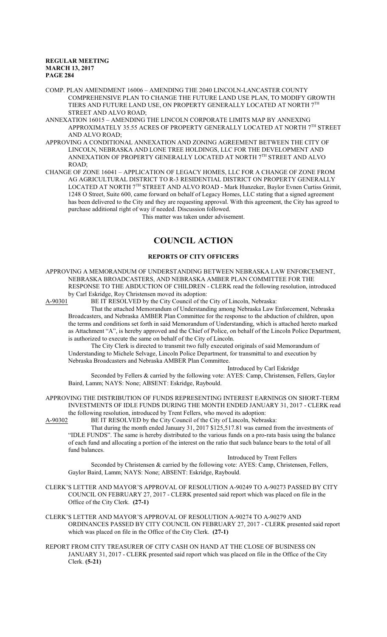COMP. PLAN AMENDMENT 16006 – AMENDING THE 2040 LINCOLN-LANCASTER COUNTY COMPREHENSIVE PLAN TO CHANGE THE FUTURE LAND USE PLAN, TO MODIFY GROWTH TIERS AND FUTURE LAND USE, ON PROPERTY GENERALLY LOCATED AT NORTH 7TH STREET AND ALVO ROAD;

- ANNEXATION 16015 AMENDING THE LINCOLN CORPORATE LIMITS MAP BY ANNEXING APPROXIMATELY 35.55 ACRES OF PROPERTY GENERALLY LOCATED AT NORTH 7<sup>th</sup> STREET AND ALVO ROAD;
- APPROVING A CONDITIONAL ANNEXATION AND ZONING AGREEMENT BETWEEN THE CITY OF LINCOLN, NEBRASKA AND LONE TREE HOLDINGS, LLC FOR THE DEVELOPMENT AND ANNEXATION OF PROPERTY GENERALLY LOCATED AT NORTH 7TH STREET AND ALVO ROAD;
- CHANGE OF ZONE 16041 APPLICATION OF LEGACY HOMES, LLC FOR A CHANGE OF ZONE FROM AG AGRICULTURAL DISTRICT TO R-3 RESIDENTIAL DISTRICT ON PROPERTY GENERALLY LOCATED AT NORTH 7<sup>TH</sup> STREET AND ALVO ROAD - Mark Hunzeker, Baylor Evnen Curtiss Grimit, 1248 O Street, Suite 600, came forward on behalf of Legacy Homes, LLC stating that a signed agreement has been delivered to the City and they are requesting approval. With this agreement, the City has agreed to purchase additional right of way if needed. Discussion followed.

This matter was taken under advisement.

# **COUNCIL ACTION**

## **REPORTS OF CITY OFFICERS**

APPROVING A MEMORANDUM OF UNDERSTANDING BETWEEN NEBRASKA LAW ENFORCEMENT, NEBRASKA BROADCASTERS, AND NEBRASKA AMBER PLAN COMMITTEE FOR THE RESPONSE TO THE ABDUCTION OF CHILDREN - CLERK read the following resolution, introduced by Carl Eskridge, Roy Christensen moved its adoption:

A-90301 BE IT RESOLVED by the City Council of the City of Lincoln, Nebraska:

That the attached Memorandum of Understanding among Nebraska Law Enforcement, Nebraska Broadcasters, and Nebraska AMBER Plan Committee for the response to the abduction of children, upon the terms and conditions set forth in said Memorandum of Understanding, which is attached hereto marked as Attachment "A", is hereby approved and the Chief of Police, on behalf of the Lincoln Police Department, is authorized to execute the same on behalf of the City of Lincoln.

The City Clerk is directed to transmit two fully executed originals of said Memorandum of Understanding to Michele Selvage, Lincoln Police Department, for transmittal to and execution by Nebraska Broadcasters and Nebraska AMBER Plan Committee.

Introduced by Carl Eskridge

Seconded by Fellers & carried by the following vote: AYES: Camp, Christensen, Fellers, Gaylor Baird, Lamm; NAYS: None; ABSENT: Eskridge, Raybould.

APPROVING THE DISTRIBUTION OF FUNDS REPRESENTING INTEREST EARNINGS ON SHORT-TERM INVESTMENTS OF IDLE FUNDS DURING THE MONTH ENDED JANUARY 31, 2017 - CLERK read the following resolution, introduced by Trent Fellers, who moved its adoption:

A-90302 BE IT RESOLVED by the City Council of the City of Lincoln, Nebraska:

That during the month ended January 31, 2017 \$125,517.81 was earned from the investments of "IDLE FUNDS". The same is hereby distributed to the various funds on a pro-rata basis using the balance of each fund and allocating a portion of the interest on the ratio that such balance bears to the total of all fund balances.

### Introduced by Trent Fellers

Seconded by Christensen & carried by the following vote: AYES: Camp, Christensen, Fellers, Gaylor Baird, Lamm; NAYS: None; ABSENT: Eskridge, Raybould.

- CLERK'S LETTER AND MAYOR'S APPROVAL OF RESOLUTION A-90249 TO A-90273 PASSED BY CITY COUNCIL ON FEBRUARY 27, 2017 - CLERK presented said report which was placed on file in the Office of the City Clerk. **(27-1)**
- CLERK'S LETTER AND MAYOR'S APPROVAL OF RESOLUTION A-90274 TO A-90279 AND ORDINANCES PASSED BY CITY COUNCIL ON FEBRUARY 27, 2017 - CLERK presented said report which was placed on file in the Office of the City Clerk. **(27-1)**
- REPORT FROM CITY TREASURER OF CITY CASH ON HAND AT THE CLOSE OF BUSINESS ON JANUARY 31, 2017 - CLERK presented said report which was placed on file in the Office of the City Clerk. **(5-21)**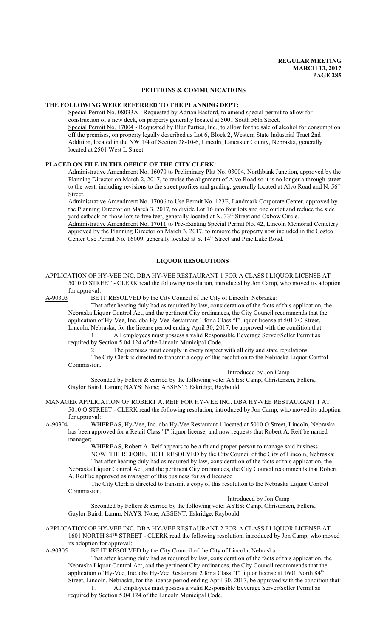## **PETITIONS & COMMUNICATIONS**

#### **THE FOLLOWING WERE REFERRED TO THE PLANNING DEPT:**

Special Permit No. 08033A - Requested by Adrian Basford, to amend special permit to allow for construction of a new deck, on property generally located at 5001 South 56th Street. Special Permit No. 17004 - Requested by Blur Parties, Inc., to allow for the sale of alcohol for consumption off the premises, on property legally described as Lot 6, Block 2, Western State Industrial Tract 2nd Addition, located in the NW 1/4 of Section 28-10-6, Lincoln, Lancaster County, Nebraska, generally located at 2501 West L Street.

## **PLACED ON FILE IN THE OFFICE OF THE CITY CLERK:**

Administrative Amendment No. 16070 to Preliminary Plat No. 03004, Northbank Junction, approved by the Planning Director on March 2, 2017, to revise the alignment of Alvo Road so it is no longer a through-street to the west, including revisions to the street profiles and grading, generally located at Alvo Road and N.  $56<sup>th</sup>$ Street.

Administrative Amendment No. 17006 to Use Permit No. 123E, Landmark Corporate Center, approved by the Planning Director on March 3, 2017, to divide Lot 16 into four lots and one outlot and reduce the side yard setback on those lots to five feet, generally located at N. 33<sup>rd</sup> Street and Oxbow Circle.

Administrative Amendment No. 17011 to Pre-Existing Special Permit No. 42, Lincoln Memorial Cemetery, approved by the Planning Director on March 3, 2017, to remove the property now included in the Costco Center Use Permit No. 16009, generally located at S. 14<sup>th</sup> Street and Pine Lake Road.

#### **LIQUOR RESOLUTIONS**

APPLICATION OF HY-VEE INC. DBA HY-VEE RESTAURANT 1 FOR A CLASS I LIQUOR LICENSE AT 5010 O STREET - CLERK read the following resolution, introduced by Jon Camp, who moved its adoption for approval:<br>A-90303 BE I

Commission.

BE IT RESOLVED by the City Council of the City of Lincoln, Nebraska:

That after hearing duly had as required by law, consideration of the facts of this application, the Nebraska Liquor Control Act, and the pertinent City ordinances, the City Council recommends that the application of Hy-Vee, Inc. dba Hy-Vee Restaurant 1 for a Class "I" liquor license at 5010 O Street, Lincoln, Nebraska, for the license period ending April 30, 2017, be approved with the condition that: 1. All employees must possess a valid Responsible Beverage Server/Seller Permit as

required by Section 5.04.124 of the Lincoln Municipal Code.

2. The premises must comply in every respect with all city and state regulations. The City Clerk is directed to transmit a copy of this resolution to the Nebraska Liquor Control

Introduced by Jon Camp

Seconded by Fellers & carried by the following vote: AYES: Camp, Christensen, Fellers, Gaylor Baird, Lamm; NAYS: None; ABSENT: Eskridge, Raybould.

MANAGER APPLICATION OF ROBERT A. REIF FOR HY-VEE INC. DBA HY-VEE RESTAURANT 1 AT 5010 O STREET - CLERK read the following resolution, introduced by Jon Camp, who moved its adoption for approval:

A-90304 WHEREAS, Hy-Vee, Inc. dba Hy-Vee Restaurant 1 located at 5010 O Street, Lincoln, Nebraska has been approved for a Retail Class "I" liquor license, and now requests that Robert A. Reif be named manager;

WHEREAS, Robert A. Reif appears to be a fit and proper person to manage said business. NOW, THEREFORE, BE IT RESOLVED by the City Council of the City of Lincoln, Nebraska: That after hearing duly had as required by law, consideration of the facts of this application, the Nebraska Liquor Control Act, and the pertinent City ordinances, the City Council recommends that Robert A. Reif be approved as manager of this business for said licensee.

The City Clerk is directed to transmit a copy of this resolution to the Nebraska Liquor Control Commission.

Introduced by Jon Camp

Seconded by Fellers & carried by the following vote: AYES: Camp, Christensen, Fellers, Gaylor Baird, Lamm; NAYS: None; ABSENT: Eskridge, Raybould.

APPLICATION OF HY-VEE INC. DBA HY-VEE RESTAURANT 2 FOR A CLASS I LIQUOR LICENSE AT 1601 NORTH 84<sup>TH</sup> STREET - CLERK read the following resolution, introduced by Jon Camp, who moved its adoption for approval:

A-90305 BE IT RESOLVED by the City Council of the City of Lincoln, Nebraska:

That after hearing duly had as required by law, consideration of the facts of this application, the Nebraska Liquor Control Act, and the pertinent City ordinances, the City Council recommends that the application of Hy-Vee, Inc. dba Hy-Vee Restaurant 2 for a Class "I" liquor license at 1601 North 84<sup>th</sup> Street, Lincoln, Nebraska, for the license period ending April 30, 2017, be approved with the condition that:

1. All employees must possess a valid Responsible Beverage Server/Seller Permit as required by Section 5.04.124 of the Lincoln Municipal Code.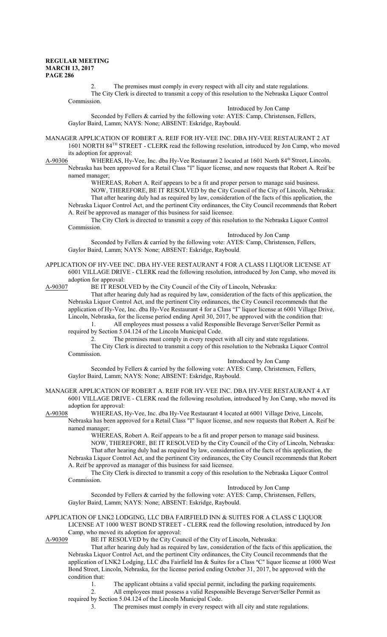2. The premises must comply in every respect with all city and state regulations. The City Clerk is directed to transmit a copy of this resolution to the Nebraska Liquor Control Commission.

Introduced by Jon Camp Seconded by Fellers & carried by the following vote: AYES: Camp, Christensen, Fellers, Gaylor Baird, Lamm; NAYS: None; ABSENT: Eskridge, Raybould.

MANAGER APPLICATION OF ROBERT A. REIF FOR HY-VEE INC. DBA HY-VEE RESTAURANT 2 AT 1601 NORTH 84<sup>TH</sup> STREET - CLERK read the following resolution, introduced by Jon Camp, who moved its adoption for approval:

A-90306 WHEREAS, Hy-Vee, Inc. dba Hy-Vee Restaurant 2 located at 1601 North 84<sup>th</sup> Street, Lincoln, Nebraska has been approved for a Retail Class "I" liquor license, and now requests that Robert A. Reif be named manager;

WHEREAS, Robert A. Reif appears to be a fit and proper person to manage said business. NOW, THEREFORE, BE IT RESOLVED by the City Council of the City of Lincoln, Nebraska: That after hearing duly had as required by law, consideration of the facts of this application, the Nebraska Liquor Control Act, and the pertinent City ordinances, the City Council recommends that Robert A. Reif be approved as manager of this business for said licensee.

The City Clerk is directed to transmit a copy of this resolution to the Nebraska Liquor Control Commission.

Introduced by Jon Camp

Seconded by Fellers & carried by the following vote: AYES: Camp, Christensen, Fellers, Gaylor Baird, Lamm; NAYS: None; ABSENT: Eskridge, Raybould.

APPLICATION OF HY-VEE INC. DBA HY-VEE RESTAURANT 4 FOR A CLASS I LIQUOR LICENSE AT 6001 VILLAGE DRIVE - CLERK read the following resolution, introduced by Jon Camp, who moved its adoption for approval:<br>A-90307 BE IT RESOI

BE IT RESOLVED by the City Council of the City of Lincoln, Nebraska:

That after hearing duly had as required by law, consideration of the facts of this application, the Nebraska Liquor Control Act, and the pertinent City ordinances, the City Council recommends that the application of Hy-Vee, Inc. dba Hy-Vee Restaurant 4 for a Class "I" liquor license at 6001 Village Drive, Lincoln, Nebraska, for the license period ending April 30, 2017, be approved with the condition that: 1. All employees must possess a valid Responsible Beverage Server/Seller Permit as

required by Section 5.04.124 of the Lincoln Municipal Code.

2. The premises must comply in every respect with all city and state regulations. The City Clerk is directed to transmit a copy of this resolution to the Nebraska Liquor Control

Commission. Introduced by Jon Camp

Seconded by Fellers & carried by the following vote: AYES: Camp, Christensen, Fellers, Gaylor Baird, Lamm; NAYS: None; ABSENT: Eskridge, Raybould.

## MANAGER APPLICATION OF ROBERT A. REIF FOR HY-VEE INC. DBA HY-VEE RESTAURANT 4 AT 6001 VILLAGE DRIVE - CLERK read the following resolution, introduced by Jon Camp, who moved its adoption for approval:

A-90308 WHEREAS, Hy-Vee, Inc. dba Hy-Vee Restaurant 4 located at 6001 Village Drive, Lincoln, Nebraska has been approved for a Retail Class "I" liquor license, and now requests that Robert A. Reif be named manager;

WHEREAS, Robert A. Reif appears to be a fit and proper person to manage said business. NOW, THEREFORE, BE IT RESOLVED by the City Council of the City of Lincoln, Nebraska: That after hearing duly had as required by law, consideration of the facts of this application, the Nebraska Liquor Control Act, and the pertinent City ordinances, the City Council recommends that Robert A. Reif be approved as manager of this business for said licensee.

The City Clerk is directed to transmit a copy of this resolution to the Nebraska Liquor Control Commission.

Introduced by Jon Camp

Seconded by Fellers & carried by the following vote: AYES: Camp, Christensen, Fellers, Gaylor Baird, Lamm; NAYS: None; ABSENT: Eskridge, Raybould.

APPLICATION OF LNK2 LODGING, LLC DBA FAIRFIELD INN & SUITES FOR A CLASS C LIQUOR LICENSE AT 1000 WEST BOND STREET - CLERK read the following resolution, introduced by Jon Camp, who moved its adoption for approval:

A-90309 BE IT RESOLVED by the City Council of the City of Lincoln, Nebraska:

That after hearing duly had as required by law, consideration of the facts of this application, the Nebraska Liquor Control Act, and the pertinent City ordinances, the City Council recommends that the application of LNK2 Lodging, LLC dba Fairfield Inn & Suites for a Class "C" liquor license at 1000 West Bond Street, Lincoln, Nebraska, for the license period ending October 31, 2017, be approved with the condition that:

1. The applicant obtains a valid special permit, including the parking requirements.

2. All employees must possess a valid Responsible Beverage Server/Seller Permit as required by Section 5.04.124 of the Lincoln Municipal Code.

3. The premises must comply in every respect with all city and state regulations.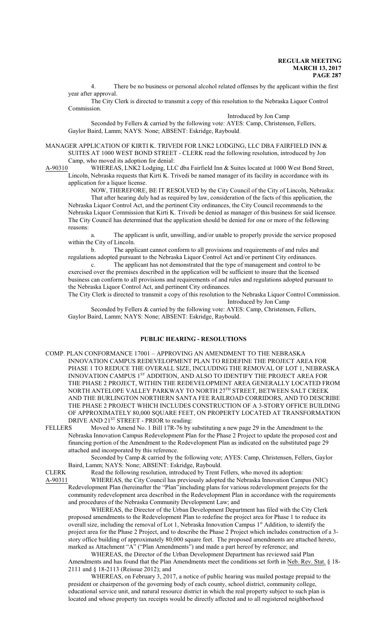4. There be no business or personal alcohol related offenses by the applicant within the first year after approval.

The City Clerk is directed to transmit a copy of this resolution to the Nebraska Liquor Control Commission.

Introduced by Jon Camp

Seconded by Fellers & carried by the following vote: AYES: Camp, Christensen, Fellers, Gaylor Baird, Lamm; NAYS: None; ABSENT: Eskridge, Raybould.

MANAGER APPLICATION OF KIRTI K. TRIVEDI FOR LNK2 LODGING, LLC DBA FAIRFIELD INN & SUITES AT 1000 WEST BOND STREET - CLERK read the following resolution, introduced by Jon Camp, who moved its adoption for denial:

A-90310 WHEREAS, LNK2 Lodging, LLC dba Fairfield Inn & Suites located at 1000 West Bond Street, Lincoln, Nebraska requests that Kirti K. Trivedi be named manager of its facility in accordance with its application for a liquor license.

NOW, THEREFORE, BE IT RESOLVED by the City Council of the City of Lincoln, Nebraska: That after hearing duly had as required by law, consideration of the facts of this application, the Nebraska Liquor Control Act, and the pertinent City ordinances, the City Council recommends to the Nebraska Liquor Commission that Kirti K. Trivedi be denied as manager of this business for said licensee. The City Council has determined that the application should be denied for one or more of the following reasons:

a. The applicant is unfit, unwilling, and/or unable to properly provide the service proposed within the City of Lincoln.

b. The applicant cannot conform to all provisions and requirements of and rules and regulations adopted pursuant to the Nebraska Liquor Control Act and/or pertinent City ordinances.

c. The applicant has not demonstrated that the type of management and control to be exercised over the premises described in the application will be sufficient to insure that the licensed business can conform to all provisions and requirements of and rules and regulations adopted pursuant to the Nebraska Liquor Control Act, and pertinent City ordinances.

The City Clerk is directed to transmit a copy of this resolution to the Nebraska Liquor Control Commission. Introduced by Jon Camp

Seconded by Fellers & carried by the following vote: AYES: Camp, Christensen, Fellers, Gaylor Baird, Lamm; NAYS: None; ABSENT: Eskridge, Raybould.

## **PUBLIC HEARING - RESOLUTIONS**

- COMP. PLAN CONFORMANCE 17001 APPROVING AN AMENDMENT TO THE NEBRASKA INNOVATION CAMPUS REDEVELOPMENT PLAN TO REDEFINE THE PROJECT AREA FOR PHASE 1 TO REDUCE THE OVERALL SIZE, INCLUDING THE REMOVAL OF LOT 1, NEBRASKA INNOVATION CAMPUS 1<sup>st</sup> ADDITION, AND ALSO TO IDENTIFY THE PROJECT AREA FOR THE PHASE 2 PROJECT, WITHIN THE REDEVELOPMENT AREA GENERALLY LOCATED FROM NORTH ANTELOPE VALLEY PARKWAY TO NORTH 27™ STREET, BETWEEN SALT CREEK AND THE BURLINGTON NORTHERN SANTA FEE RAILROAD CORRIDORS, AND TO DESCRIBE THE PHASE 2 PROJECT WHICH INCLUDES CONSTRUCTION OF A 3-STORY OFFICE BUILDING OF APPROXIMATELY 80,000 SQUARE FEET, ON PROPERTY LOCATED AT TRANSFORMATION DRIVE AND 21<sup>ST</sup> STREET - PRIOR to reading:
- FELLERS Moved to Amend No. 1 Bill 17R-76 by substituting a new page 29 in the Amendment to the Nebraska Innovation Campus Redevelopment Plan for the Phase 2 Project to update the proposed cost and financing portion of the Amendment to the Redevelopment Plan as indicated on the substituted page 29 attached and incorporated by this reference.

Seconded by Camp & carried by the following vote; AYES: Camp, Christensen, Fellers, Gaylor Baird, Lamm; NAYS: None; ABSENT: Eskridge, Raybould.

CLERK Read the following resolution, introduced by Trent Fellers, who moved its adoption:<br>A-90311 WHEREAS, the City Council has previously adopted the Nebraska Innovation Camr WHEREAS, the City Council has previously adopted the Nebraska Innovation Campus (NIC)

Redevelopment Plan (hereinafter the "Plan")including plans for various redevelopment projects for the community redevelopment area described in the Redevelopment Plan in accordance with the requirements and procedures of the Nebraska Community Development Law; and

WHEREAS, the Director of the Urban Development Department has filed with the City Clerk proposed amendments to the Redevelopment Plan to redefine the project area for Phase 1 to reduce its overall size, including the removal of Lot 1, Nebraska Innovation Campus 1st Addition, to identify the project area for the Phase 2 Project, and to describe the Phase 2 Project which includes construction of a 3 story office building of approximately 80,000 square feet. The proposed amendments are attached hereto, marked as Attachment "A" ("Plan Amendments") and made a part hereof by reference; and

WHEREAS, the Director of the Urban Development Department has reviewed said Plan Amendments and has found that the Plan Amendments meet the conditions set forth in Neb. Rev. Stat. § 18- 2111 and § 18-2113 (Reissue 2012); and

WHEREAS, on February 3, 2017, a notice of public hearing was mailed postage prepaid to the president or chairperson of the governing body of each county, school district, community college, educational service unit, and natural resource district in which the real property subject to such plan is located and whose property tax receipts would be directly affected and to all registered neighborhood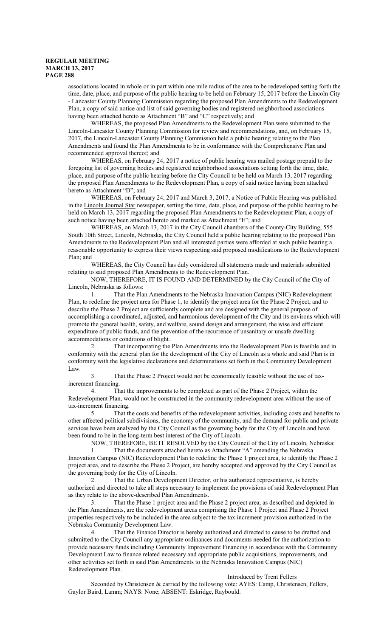associations located in whole or in part within one mile radius of the area to be redeveloped setting forth the time, date, place, and purpose of the public hearing to be held on February 15, 2017 before the Lincoln City - Lancaster County Planning Commission regarding the proposed Plan Amendments to the Redevelopment Plan, a copy of said notice and list of said governing bodies and registered neighborhood associations having been attached hereto as Attachment "B" and "C" respectively; and

WHEREAS, the proposed Plan Amendments to the Redevelopment Plan were submitted to the Lincoln-Lancaster County Planning Commission for review and recommendations, and, on February 15, 2017, the Lincoln-Lancaster County Planning Commission held a public hearing relating to the Plan Amendments and found the Plan Amendments to be in conformance with the Comprehensive Plan and recommended approval thereof; and

WHEREAS, on February 24, 2017 a notice of public hearing was mailed postage prepaid to the foregoing list of governing bodies and registered neighborhood associations setting forth the time, date, place, and purpose of the public hearing before the City Council to be held on March 13, 2017 regarding the proposed Plan Amendments to the Redevelopment Plan, a copy of said notice having been attached hereto as Attachment "D"; and

WHEREAS, on February 24, 2017 and March 3, 2017, a Notice of Public Hearing was published in the Lincoln Journal Star newspaper, setting the time, date, place, and purpose of the public hearing to be held on March 13, 2017 regarding the proposed Plan Amendments to the Redevelopment Plan, a copy of such notice having been attached hereto and marked as Attachment "E"; and

WHEREAS, on March 13, 2017 in the City Council chambers of the County-City Building, 555 South 10th Street, Lincoln, Nebraska, the City Council held a public hearing relating to the proposed Plan Amendments to the Redevelopment Plan and all interested parties were afforded at such public hearing a reasonable opportunity to express their views respecting said proposed modifications to the Redevelopment Plan; and

WHEREAS, the City Council has duly considered all statements made and materials submitted relating to said proposed Plan Amendments to the Redevelopment Plan.

NOW, THEREFORE, IT IS FOUND AND DETERMINED by the City Council of the City of Lincoln, Nebraska as follows:

1. That the Plan Amendments to the Nebraska Innovation Campus (NIC) Redevelopment Plan, to redefine the project area for Phase 1, to identify the project area for the Phase 2 Project, and to describe the Phase 2 Project are sufficiently complete and are designed with the general purpose of accomplishing a coordinated, adjusted, and harmonious development of the City and its environs which will promote the general health, safety, and welfare, sound design and arrangement, the wise and efficient expenditure of public funds, and the prevention of the recurrence of unsanitary or unsafe dwelling accommodations or conditions of blight.

2. That incorporating the Plan Amendments into the Redevelopment Plan is feasible and in conformity with the general plan for the development of the City of Lincoln as a whole and said Plan is in conformity with the legislative declarations and determinations set forth in the Community Development Law.

3. That the Phase 2 Project would not be economically feasible without the use of taxincrement financing.

4. That the improvements to be completed as part of the Phase 2 Project, within the Redevelopment Plan, would not be constructed in the community redevelopment area without the use of tax-increment financing.

5. That the costs and benefits of the redevelopment activities, including costs and benefits to other affected political subdivisions, the economy of the community, and the demand for public and private services have been analyzed by the City Council as the governing body for the City of Lincoln and have been found to be in the long-term best interest of the City of Lincoln.

NOW, THEREFORE, BE IT RESOLVED by the City Council of the City of Lincoln, Nebraska:

1. That the documents attached hereto as Attachment "A" amending the Nebraska Innovation Campus (NIC) Redevelopment Plan to redefine the Phase 1 project area, to identify the Phase 2 project area, and to describe the Phase 2 Project, are hereby accepted and approved by the City Council as the governing body for the City of Lincoln.

2. That the Urban Development Director, or his authorized representative, is hereby authorized and directed to take all steps necessary to implement the provisions of said Redevelopment Plan as they relate to the above-described Plan Amendments.

3. That the Phase 1 project area and the Phase 2 project area, as described and depicted in the Plan Amendments, are the redevelopment areas comprising the Phase 1 Project and Phase 2 Project properties respectively to be included in the area subject to the tax increment provision authorized in the Nebraska Community Development Law.

4. That the Finance Director is hereby authorized and directed to cause to be drafted and submitted to the City Council any appropriate ordinances and documents needed for the authorization to provide necessary funds including Community Improvement Financing in accordance with the Community Development Law to finance related necessary and appropriate public acquisitions, improvements, and other activities set forth in said Plan Amendments to the Nebraska Innovation Campus (NIC) Redevelopment Plan.

## Introduced by Trent Fellers

Seconded by Christensen & carried by the following vote: AYES: Camp, Christensen, Fellers, Gaylor Baird, Lamm; NAYS: None; ABSENT: Eskridge, Raybould.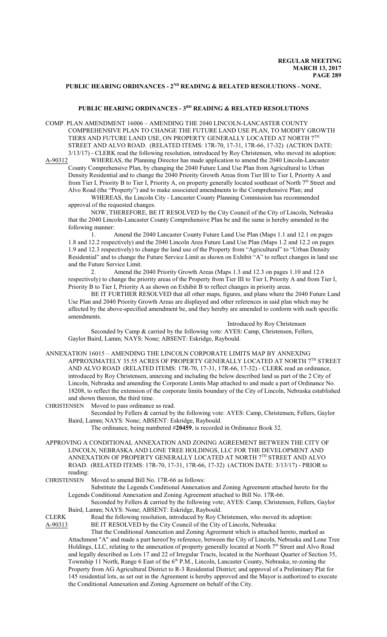# PUBLIC HEARING ORDINANCES - 2<sup>ND</sup> READING & RELATED RESOLUTIONS - NONE.

### **PUBLIC HEARING ORDINANCES - 3RD READING & RELATED RESOLUTIONS**

COMP. PLAN AMENDMENT 16006 – AMENDING THE 2040 LINCOLN-LANCASTER COUNTY COMPREHENSIVE PLAN TO CHANGE THE FUTURE LAND USE PLAN, TO MODIFY GROWTH TIERS AND FUTURE LAND USE, ON PROPERTY GENERALLY LOCATED AT NORTH 7TH STREET AND ALVO ROAD. (RELATED ITEMS: 17R-70, 17-31, 17R-66, 17-32) (ACTION DATE: 3/13/17) - CLERK read the following resolution, introduced by Roy Christensen, who moved its adoption:

A-90312 WHEREAS, the Planning Director has made application to amend the 2040 Lincoln-Lancaster County Comprehensive Plan, by changing the 2040 Future Land Use Plan from Agricultural to Urban Density Residential and to change the 2040 Priority Growth Areas from Tier III to Tier I, Priority A and from Tier I, Priority B to Tier I, Priority A, on property generally located southeast of North  $7<sup>th</sup>$  Street and Alvo Road (the "Property") and to make associated amendments to the Comprehensive Plan; and

WHEREAS, the Lincoln City - Lancaster County Planning Commission has recommended approval of the requested changes.

NOW, THEREFORE, BE IT RESOLVED by the City Council of the City of Lincoln, Nebraska that the 2040 Lincoln-Lancaster County Comprehensive Plan be and the same is hereby amended in the following manner:

1. Amend the 2040 Lancaster County Future Land Use Plan (Maps 1.1 and 12.1 on pages 1.8 and 12.2 respectively) and the 2040 Lincoln Area Future Land Use Plan (Maps 1.2 and 12.2 on pages 1.9 and 12.3 respectively) to change the land use of the Property from "Agricultural" to "Urban Density Residential" and to change the Future Service Limit as shown on Exhibit "A" to reflect changes in land use and the Future Service Limit.

2. Amend the 2040 Priority Growth Areas (Maps 1.3 and 12.3 on pages 1.10 and 12.6 respectively) to change the priority areas of the Property from Tier III to Tier I, Priority A and from Tier I, Priority B to Tier I, Priority A as shown on Exhibit B to reflect changes in priority areas.

BE IT FURTHER RESOLVED that all other maps, figures, and plans where the 2040 Future Land Use Plan and 2040 Priority Growth Areas are displayed and other references in said plan which may be affected by the above-specified amendment be, and they hereby are amended to conform with such specific amendments.

Introduced by Roy Christensen Seconded by Camp & carried by the following vote: AYES: Camp, Christensen, Fellers, Gaylor Baird, Lamm; NAYS: None; ABSENT: Eskridge, Raybould.

ANNEXATION 16015 – AMENDING THE LINCOLN CORPORATE LIMITS MAP BY ANNEXING APPROXIMATELY 35.55 ACRES OF PROPERTY GENERALLY LOCATED AT NORTH 7TH STREET AND ALVO ROAD (RELATED ITEMS: 17R-70, 17-31, 17R-66, 17-32) - CLERK read an ordinance, introduced by Roy Christensen, annexing and including the below described land as part of the 2 City of Lincoln, Nebraska and amending the Corporate Limits Map attached to and made a part of Ordinance No. 18208, to reflect the extension of the corporate limits boundary of the City of Lincoln, Nebraska established and shown thereon, the third time.<br>CHRISTENSEN Moved to pass ordinance

Moved to pass ordinance as read.

Seconded by Fellers & carried by the following vote: AYES: Camp, Christensen, Fellers, Gaylor Baird, Lamm; NAYS: None; ABSENT: Eskridge, Raybould.

The ordinance, being numbered #**20459**, is recorded in Ordinance Book 32.

APPROVING A CONDITIONAL ANNEXATION AND ZONING AGREEMENT BETWEEN THE CITY OF LINCOLN, NEBRASKA AND LONE TREE HOLDINGS, LLC FOR THE DEVELOPMENT AND ANNEXATION OF PROPERTY GENERALLY LOCATED AT NORTH 7TH STREET AND ALVO ROAD. (RELATED ITEMS: 17R-70, 17-31, 17R-66, 17-32) (ACTION DATE: 3/13/17) - PRIOR to reading:<br>CHRISTENSEN

Moved to amend Bill No. 17R-66 as follows:

Substitute the Legends Conditional Annexation and Zoning Agreement attached hereto for the Legends Conditional Annexation and Zoning Agreement attached to Bill No. 17R-66.

Seconded by Fellers & carried by the following vote; AYES: Camp, Christensen, Fellers, Gaylor Baird, Lamm; NAYS: None; ABSENT: Eskridge, Raybould.

CLERK Read the following resolution, introduced by Roy Christensen, who moved its adoption: A-90313 BE IT RESOLVED by the City Council of the City of Lincoln, Nebraska:

That the Conditional Annexation and Zoning Agreement which is attached hereto, marked as Attachment "A" and made a part hereof by reference, between the City of Lincoln, Nebraska and Lone Tree Holdings, LLC, relating to the annexation of property generally located at North 7th Street and Alvo Road and legally described as Lots 17 and 22 of Irregular Tracts, located in the Northeast Quarter of Section 35, Township 11 North, Range 6 East of the 6<sup>th</sup> P.M., Lincoln, Lancaster County, Nebraska; re-zoning the Property from AG Agricultural District to R-3 Residential District; and approval of a Preliminary Plat for 145 residential lots, as set out in the Agreement is hereby approved and the Mayor is authorized to execute the Conditional Annexation and Zoning Agreement on behalf of the City.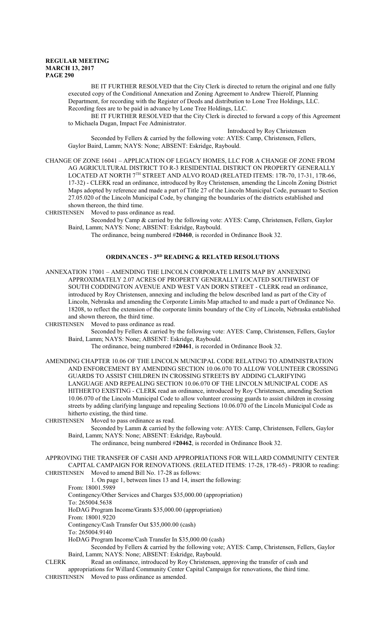BE IT FURTHER RESOLVED that the City Clerk is directed to return the original and one fully executed copy of the Conditional Annexation and Zoning Agreement to Andrew Thierolf, Planning Department, for recording with the Register of Deeds and distribution to Lone Tree Holdings, LLC. Recording fees are to be paid in advance by Lone Tree Holdings, LLC.

BE IT FURTHER RESOLVED that the City Clerk is directed to forward a copy of this Agreement to Michaela Dugan, Impact Fee Administrator.

Introduced by Roy Christensen

Seconded by Fellers & carried by the following vote: AYES: Camp, Christensen, Fellers, Gaylor Baird, Lamm; NAYS: None; ABSENT: Eskridge, Raybould.

CHANGE OF ZONE 16041 – APPLICATION OF LEGACY HOMES, LLC FOR A CHANGE OF ZONE FROM AG AGRICULTURAL DISTRICT TO R-3 RESIDENTIAL DISTRICT ON PROPERTY GENERALLY LOCATED AT NORTH 7TH STREET AND ALVO ROAD (RELATED ITEMS: 17R-70, 17-31, 17R-66, 17-32) - CLERK read an ordinance, introduced by Roy Christensen, amending the Lincoln Zoning District Maps adopted by reference and made a part of Title 27 of the Lincoln Municipal Code, pursuant to Section 27.05.020 of the Lincoln Municipal Code, by changing the boundaries of the districts established and shown thereon, the third time.

CHRISTENSEN Moved to pass ordinance as read.

Seconded by Camp & carried by the following vote: AYES: Camp, Christensen, Fellers, Gaylor Baird, Lamm; NAYS: None; ABSENT: Eskridge, Raybould.

The ordinance, being numbered #**20460**, is recorded in Ordinance Book 32.

## **ORDINANCES - 3RD READING & RELATED RESOLUTIONS**

ANNEXATION 17001 – AMENDING THE LINCOLN CORPORATE LIMITS MAP BY ANNEXING APPROXIMATELY 2.07 ACRES OF PROPERTY GENERALLY LOCATED SOUTHWEST OF SOUTH CODDINGTON AVENUE AND WEST VAN DORN STREET - CLERK read an ordinance, introduced by Roy Christensen, annexing and including the below described land as part of the City of Lincoln, Nebraska and amending the Corporate Limits Map attached to and made a part of Ordinance No. 18208, to reflect the extension of the corporate limits boundary of the City of Lincoln, Nebraska established and shown thereon, the third time.

CHRISTENSEN Moved to pass ordinance as read.

Seconded by Fellers & carried by the following vote: AYES: Camp, Christensen, Fellers, Gaylor Baird, Lamm; NAYS: None; ABSENT: Eskridge, Raybould.

## The ordinance, being numbered #**20461**, is recorded in Ordinance Book 32.

AMENDING CHAPTER 10.06 OF THE LINCOLN MUNICIPAL CODE RELATING TO ADMINISTRATION AND ENFORCEMENT BY AMENDING SECTION 10.06.070 TO ALLOW VOLUNTEER CROSSING GUARDS TO ASSIST CHILDREN IN CROSSING STREETS BY ADDING CLARIFYING LANGUAGE AND REPEALING SECTION 10.06.070 OF THE LINCOLN MUNICIPAL CODE AS HITHERTO EXISTING - CLERK read an ordinance, introduced by Roy Christensen, amending Section 10.06.070 of the Lincoln Municipal Code to allow volunteer crossing guards to assist children in crossing streets by adding clarifying language and repealing Sections 10.06.070 of the Lincoln Municipal Code as hitherto existing, the third time.

CHRISTENSEN Moved to pass ordinance as read.

Seconded by Lamm & carried by the following vote: AYES: Camp, Christensen, Fellers, Gaylor Baird, Lamm; NAYS: None; ABSENT: Eskridge, Raybould.

The ordinance, being numbered #**20462**, is recorded in Ordinance Book 32.

APPROVING THE TRANSFER OF CASH AND APPROPRIATIONS FOR WILLARD COMMUNITY CENTER CAPITAL CAMPAIGN FOR RENOVATIONS. (RELATED ITEMS: 17-28, 17R-65) - PRIOR to reading:

CHRISTENSEN Moved to amend Bill No. 17-28 as follows:

1. On page 1, between lines 13 and 14, insert the following:

From: 18001.5989

Contingency/Other Services and Charges \$35,000.00 (appropriation)

To: 265004.5638

HoDAG Program Income/Grants \$35,000.00 (appropriation)

From: 18001.9220

Contingency/Cash Transfer Out \$35,000.00 (cash)

To: 265004.9140

HoDAG Program Income/Cash Transfer In \$35,000.00 (cash)

Seconded by Fellers & carried by the following vote; AYES: Camp, Christensen, Fellers, Gaylor Baird, Lamm; NAYS: None; ABSENT: Eskridge, Raybould.

CLERK Read an ordinance, introduced by Roy Christensen, approving the transfer of cash and

appropriations for Willard Community Center Capital Campaign for renovations, the third time.

CHRISTENSEN Moved to pass ordinance as amended.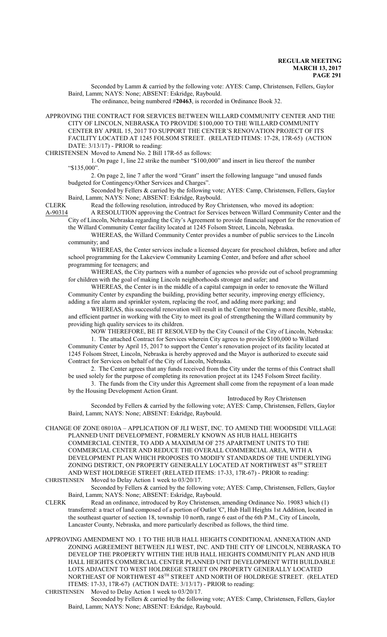Seconded by Lamm & carried by the following vote: AYES: Camp, Christensen, Fellers, Gaylor Baird, Lamm; NAYS: None; ABSENT: Eskridge, Raybould.

The ordinance, being numbered #**20463**, is recorded in Ordinance Book 32.

APPROVING THE CONTRACT FOR SERVICES BETWEEN WILLARD COMMUNITY CENTER AND THE CITY OF LINCOLN, NEBRASKA TO PROVIDE \$100,000 TO THE WILLARD COMMUNITY CENTER BY APRIL 15, 2017 TO SUPPORT THE CENTER'S RENOVATION PROJECT OF ITS FACILITY LOCATED AT 1245 FOLSOM STREET. (RELATED ITEMS: 17-28, 17R-65) (ACTION DATE: 3/13/17) - PRIOR to reading:

CHRISTENSEN Moved to Amend No. 2 Bill 17R-65 as follows:

1. On page 1, line 22 strike the number "\$100,000" and insert in lieu thereof the number "\$135,000".

2. On page 2, line 7 after the word "Grant" insert the following language "and unused funds budgeted for Contingency/Other Services and Charges".

Seconded by Fellers & carried by the following vote; AYES: Camp, Christensen, Fellers, Gaylor Baird, Lamm; NAYS: None; ABSENT: Eskridge, Raybould.

CLERK Read the following resolution, introduced by Roy Christensen, who moved its adoption:

A-90314 A RESOLUTION approving the Contract for Services between Willard Community Center and the City of Lincoln, Nebraska regarding the City's Agreement to provide financial support for the renovation of the Willard Community Center facility located at 1245 Folsom Street, Lincoln, Nebraska.

WHEREAS, the Willard Community Center provides a number of public services to the Lincoln community; and

WHEREAS, the Center services include a licensed daycare for preschool children, before and after school programming for the Lakeview Community Learning Center, and before and after school programming for teenagers; and

WHEREAS, the City partners with a number of agencies who provide out of school programming for children with the goal of making Lincoln neighborhoods stronger and safer; and

WHEREAS, the Center is in the middle of a capital campaign in order to renovate the Willard Community Center by expanding the building, providing better security, improving energy efficiency, adding a fire alarm and sprinkler system, replacing the roof, and adding more parking; and

WHEREAS, this successful renovation will result in the Center becoming a more flexible, stable, and efficient partner in working with the City to meet its goal of strengthening the Willard community by providing high quality services to its children.

NOW THEREFORE, BE IT RESOLVED by the City Council of the City of Lincoln, Nebraska:

1. The attached Contract for Services wherein City agrees to provide \$100,000 to Willard Community Center by April 15, 2017 to support the Center's renovation project of its facility located at 1245 Folsom Street, Lincoln, Nebraska is hereby approved and the Mayor is authorized to execute said Contract for Services on behalf of the City of Lincoln, Nebraska.

2. The Center agrees that any funds received from the City under the terms of this Contract shall be used solely for the purpose of completing its renovation project at its 1245 Folsom Street facility.

3. The funds from the City under this Agreement shall come from the repayment of a loan made by the Housing Development Action Grant.

Introduced by Roy Christensen

Seconded by Fellers & carried by the following vote; AYES: Camp, Christensen, Fellers, Gaylor Baird, Lamm; NAYS: None; ABSENT: Eskridge, Raybould.

CHANGE OF ZONE 08010A – APPLICATION OF JLI WEST, INC. TO AMEND THE WOODSIDE VILLAGE PLANNED UNIT DEVELOPMENT, FORMERLY KNOWN AS HUB HALL HEIGHTS COMMERCIAL CENTER, TO ADD A MAXIMUM OF 275 APARTMENT UNITS TO THE COMMERCIAL CENTER AND REDUCE THE OVERALL COMMERCIAL AREA, WITH A DEVELOPMENT PLAN WHICH PROPOSES TO MODIFY STANDARDS OF THE UNDERLYING ZONING DISTRICT, ON PROPERTY GENERALLY LOCATED AT NORTHWEST 48<sup>TH</sup> STREET AND WEST HOLDREGE STREET (RELATED ITEMS: 17-33, 17R-67) - PRIOR to reading: CHRISTENSEN Moved to Delay Action 1 week to 03/20/17.

Seconded by Fellers & carried by the following vote; AYES: Camp, Christensen, Fellers, Gaylor Baird, Lamm; NAYS: None; ABSENT: Eskridge, Raybould.

CLERK Read an ordinance, introduced by Roy Christensen, amending Ordinance No. 19083 which (1) transferred: a tract of land composed of a portion of Outlot 'C', Hub Hall Heights 1st Addition, located in the southeast quarter of section 18, township 10 north, range 6 east of the 6th P.M., City of Lincoln, Lancaster County, Nebraska, and more particularly described as follows, the third time.

APPROVING AMENDMENT NO. 1 TO THE HUB HALL HEIGHTS CONDITIONAL ANNEXATION AND ZONING AGREEMENT BETWEEN JLI WEST, INC. AND THE CITY OF LINCOLN, NEBRASKA TO DEVELOP THE PROPERTY WITHIN THE HUB HALL HEIGHTS COMMUNITY PLAN AND HUB HALL HEIGHTS COMMERCIAL CENTER PLANNED UNIT DEVELOPMENT WITH BUILDABLE LOTS ADJACENT TO WEST HOLDREGE STREET ON PROPERTY GENERALLY LOCATED NORTHEAST OF NORTHWEST  $48^{\text{\tiny{TH}}}$  STREET AND NORTH OF HOLDREGE STREET. (RELATED ITEMS: 17-33, 17R-67) (ACTION DATE: 3/13/17) - PRIOR to reading:

CHRISTENSEN Moved to Delay Action 1 week to 03/20/17.

Seconded by Fellers & carried by the following vote; AYES: Camp, Christensen, Fellers, Gaylor Baird, Lamm; NAYS: None; ABSENT: Eskridge, Raybould.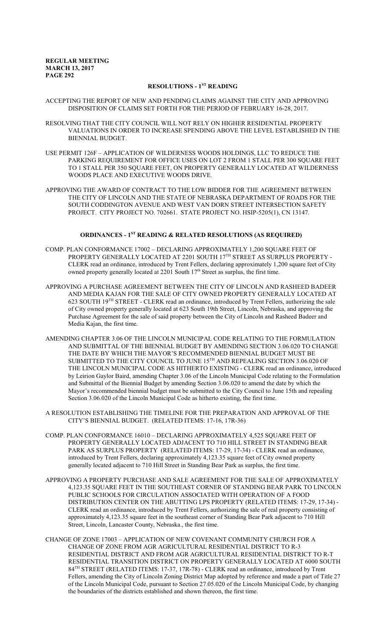# **RESOLUTIONS - 1ST READING**

## ACCEPTING THE REPORT OF NEW AND PENDING CLAIMS AGAINST THE CITY AND APPROVING DISPOSITION OF CLAIMS SET FORTH FOR THE PERIOD OF FEBRUARY 16-28, 2017.

- RESOLVING THAT THE CITY COUNCIL WILL NOT RELY ON HIGHER RESIDENTIAL PROPERTY VALUATIONS IN ORDER TO INCREASE SPENDING ABOVE THE LEVEL ESTABLISHED IN THE BIENNIAL BUDGET.
- USE PERMIT 126F APPLICATION OF WILDERNESS WOODS HOLDINGS, LLC TO REDUCE THE PARKING REQUIREMENT FOR OFFICE USES ON LOT 2 FROM 1 STALL PER 300 SOUARE FEET TO 1 STALL PER 350 SQUARE FEET, ON PROPERTY GENERALLY LOCATED AT WILDERNESS WOODS PLACE AND EXECUTIVE WOODS DRIVE.
- APPROVING THE AWARD OF CONTRACT TO THE LOW BIDDER FOR THE AGREEMENT BETWEEN THE CITY OF LINCOLN AND THE STATE OF NEBRASKA DEPARTMENT OF ROADS FOR THE SOUTH CODDINGTON AVENUE AND WEST VAN DORN STREET INTERSECTION SAFETY PROJECT. CITY PROJECT NO. 702661. STATE PROJECT NO. HSIP-5205(1), CN 13147.

## **ORDINANCES - 1ST READING & RELATED RESOLUTIONS (AS REQUIRED)**

- COMP. PLAN CONFORMANCE 17002 DECLARING APPROXIMATELY 1,200 SQUARE FEET OF PROPERTY GENERALLY LOCATED AT 2201 SOUTH 17<sup>th</sup> STREET AS SURPLUS PROPERTY -CLERK read an ordinance, introduced by Trent Fellers, declaring approximately 1,200 square feet of City owned property generally located at 2201 South 17<sup>th</sup> Street as surplus, the first time.
- APPROVING A PURCHASE AGREEMENT BETWEEN THE CITY OF LINCOLN AND RASHEED BADEER AND MEDIA KAJAN FOR THE SALE OF CITY OWNED PROPERTY GENERALLY LOCATED AT 623 SOUTH 19<sup>TH</sup> STREET - CLERK read an ordinance, introduced by Trent Fellers, authorizing the sale of City owned property generally located at 623 South 19th Street, Lincoln, Nebraska, and approving the Purchase Agreement for the sale of said property between the City of Lincoln and Rasheed Badeer and Media Kajan, the first time.
- AMENDING CHAPTER 3.06 OF THE LINCOLN MUNICIPAL CODE RELATING TO THE FORMULATION AND SUBMITTAL OF THE BIENNIAL BUDGET BY AMENDING SECTION 3.06.020 TO CHANGE THE DATE BY WHICH THE MAYOR'S RECOMMENDED BIENNIAL BUDGET MUST BE SUBMITTED TO THE CITY COUNCIL TO JUNE  $15^{\text{\tiny{TH}}}$  AND REPEALING SECTION 3.06.020 OF THE LINCOLN MUNICIPAL CODE AS HITHERTO EXISTING - CLERK read an ordinance, introduced by Leirion Gaylor Baird, amending Chapter 3.06 of the Lincoln Municipal Code relating to the Formulation and Submittal of the Biennial Budget by amending Section 3.06.020 to amend the date by which the Mayor's recommended biennial budget must be submitted to the City Council to June 15th and repealing Section 3.06.020 of the Lincoln Municipal Code as hitherto existing, the first time.
- A RESOLUTION ESTABLISHING THE TIMELINE FOR THE PREPARATION AND APPROVAL OF THE CITY'S BIENNIAL BUDGET. (RELATED ITEMS: 17-16, 17R-36)
- COMP. PLAN CONFORMANCE 16010 DECLARING APPROXIMATELY 4,525 SQUARE FEET OF PROPERTY GENERALLY LOCATED ADJACENT TO 710 HILL STREET IN STANDING BEAR PARK AS SURPLUS PROPERTY (RELATED ITEMS: 17-29, 17-34) - CLERK read an ordinance, introduced by Trent Fellers, declaring approximately 4,123.35 square feet of City owned property generally located adjacent to 710 Hill Street in Standing Bear Park as surplus, the first time.
- APPROVING A PROPERTY PURCHASE AND SALE AGREEMENT FOR THE SALE OF APPROXIMATELY 4,123.35 SQUARE FEET IN THE SOUTHEAST CORNER OF STANDING BEAR PARK TO LINCOLN PUBLIC SCHOOLS FOR CIRCULATION ASSOCIATED WITH OPERATION OF A FOOD DISTRIBUTION CENTER ON THE ABUTTING LPS PROPERTY (RELATED ITEMS: 17-29, 17-34) - CLERK read an ordinance, introduced by Trent Fellers, authorizing the sale of real property consisting of approximately 4,123.35 square feet in the southeast corner of Standing Bear Park adjacent to 710 Hill Street, Lincoln, Lancaster County, Nebraska., the first time.
- CHANGE OF ZONE 17003 APPLICATION OF NEW COVENANT COMMUNITY CHURCH FOR A CHANGE OF ZONE FROM AGR AGRICULTURAL RESIDENTIAL DISTRICT TO R-3 RESIDENTIAL DISTRICT AND FROM AGR AGRICULTURAL RESIDENTIAL DISTRICT TO R-T RESIDENTIAL TRANSITION DISTRICT ON PROPERTY GENERALLY LOCATED AT 6000 SOUTH 84<sup>TH</sup> STREET (RELATED ITEMS: 17-37, 17R-78) - CLERK read an ordinance, introduced by Trent Fellers, amending the City of Lincoln Zoning District Map adopted by reference and made a part of Title 27 of the Lincoln Municipal Code, pursuant to Section 27.05.020 of the Lincoln Municipal Code, by changing the boundaries of the districts established and shown thereon, the first time.